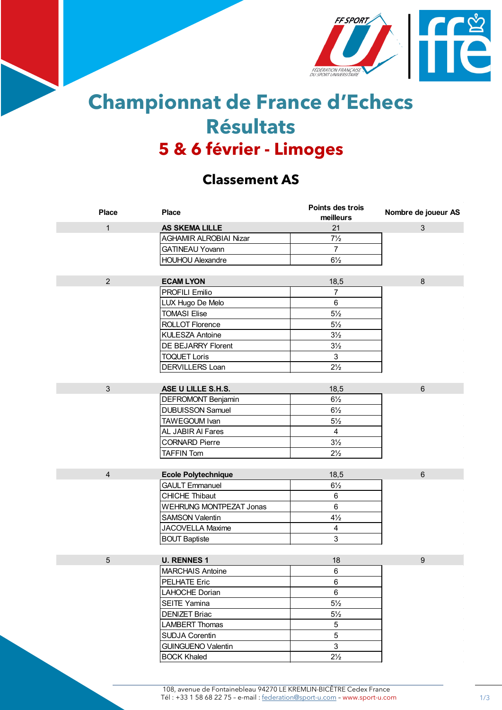

## **Championnat de France d'Echecs Résultats 5 & 6 février - Limoges**

## **Classement AS**

| <b>Place</b>   | <b>Place</b>                   | Points des trois<br>meilleurs | Nombre de joueur AS |
|----------------|--------------------------------|-------------------------------|---------------------|
| $\mathbf{1}$   | <b>AS SKEMA LILLE</b>          | 21                            | 3                   |
|                | <b>AGHAMIR ALROBIAI Nizar</b>  | $7\frac{1}{2}$                |                     |
|                | <b>GATINEAU Yovann</b>         | $\overline{7}$                |                     |
|                | <b>HOUHOU Alexandre</b>        | $6\frac{1}{2}$                |                     |
|                |                                |                               |                     |
| $\overline{2}$ | <b>ECAM LYON</b>               | 18,5                          | 8                   |
|                | <b>PROFILI Emilio</b>          | $\overline{7}$                |                     |
|                | LUX Hugo De Melo               | $\,6\,$                       |                     |
|                | <b>TOMASI Elise</b>            | $5\frac{1}{2}$                |                     |
|                | ROLLOT Florence                | $5\frac{1}{2}$                |                     |
|                | <b>KULESZA Antoine</b>         | $3\frac{1}{2}$                |                     |
|                | DE BEJARRY Florent             | $3\frac{1}{2}$                |                     |
|                | <b>TOQUET Loris</b>            | $\mathbf{3}$                  |                     |
|                | DERVILLERS Loan                | $2\frac{1}{2}$                |                     |
|                |                                |                               |                     |
| 3              | ASE U LILLE S.H.S.             | 18,5                          | $6\phantom{1}$      |
|                | DEFROMONT Benjamin             | $6\frac{1}{2}$                |                     |
|                | <b>DUBUISSON Samuel</b>        | $6\frac{1}{2}$                |                     |
|                | TAWEGOUM Ivan                  | $5\frac{1}{2}$                |                     |
|                | AL JABIR AI Fares              | $\overline{4}$                |                     |
|                | <b>CORNARD Pierre</b>          | $3\frac{1}{2}$                |                     |
|                | <b>TAFFIN Tom</b>              | $2\frac{1}{2}$                |                     |
|                |                                |                               |                     |
| $\overline{4}$ | <b>Ecole Polytechnique</b>     | 18,5                          | $6\phantom{1}$      |
|                | <b>GAULT Emmanuel</b>          | $6\frac{1}{2}$                |                     |
|                | <b>CHICHE Thibaut</b>          | 6                             |                     |
|                | <b>WEHRUNG MONTPEZAT Jonas</b> | $\,6\,$                       |                     |
|                | <b>SAMSON Valentin</b>         | $4\frac{1}{2}$                |                     |
|                | JACOVELLA Maxime               | $\overline{4}$                |                     |
|                | <b>BOUT Baptiste</b>           | 3                             |                     |
|                |                                |                               |                     |
| $\overline{5}$ | <b>U. RENNES 1</b>             | 18                            | $\boldsymbol{9}$    |
|                | <b>MARCHAIS Antoine</b>        | 6                             |                     |
|                | PELHATE Eric                   | 6                             |                     |
|                | LAHOCHE Dorian                 | $\,6$                         |                     |
|                | <b>SEITE Yamina</b>            | $5\frac{1}{2}$                |                     |
|                | <b>DENIZET Briac</b>           | $5\frac{1}{2}$                |                     |
|                | <b>LAMBERT Thomas</b>          | 5                             |                     |
|                | <b>SUDJA Corentin</b>          | 5                             |                     |
|                | <b>GUINGUENO Valentin</b>      | 3                             |                     |
|                | <b>BOCK Khaled</b>             | $2\frac{1}{2}$                |                     |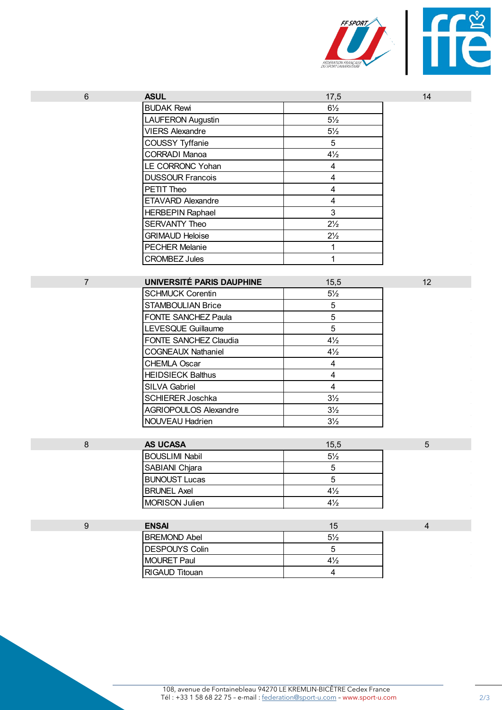

|                  | <b>VIERS Alexandre</b>       | $5\frac{1}{2}$          |                |
|------------------|------------------------------|-------------------------|----------------|
|                  | <b>COUSSY Tyffanie</b>       | 5                       |                |
|                  | <b>CORRADI Manoa</b>         | $4\frac{1}{2}$          |                |
|                  | LE CORRONC Yohan             | $\overline{\mathbf{4}}$ |                |
|                  | <b>DUSSOUR Francois</b>      | $\overline{\mathbf{4}}$ |                |
|                  | PETIT Theo                   | $\overline{\mathbf{4}}$ |                |
|                  | ETAVARD Alexandre            | 4                       |                |
|                  | <b>HERBEPIN Raphael</b>      | 3                       |                |
|                  | <b>SERVANTY Theo</b>         | $2\frac{1}{2}$          |                |
|                  | <b>GRIMAUD Heloise</b>       | $2\frac{1}{2}$          |                |
|                  | <b>PECHER Melanie</b>        | $\mathbf{1}$            |                |
|                  | <b>CROMBEZ Jules</b>         | 1                       |                |
|                  |                              |                         |                |
| $\overline{7}$   | UNIVERSITÉ PARIS DAUPHINE    | 15,5                    | 12             |
|                  | <b>SCHMUCK Corentin</b>      | $5\frac{1}{2}$          |                |
|                  | <b>STAMBOULIAN Brice</b>     | 5                       |                |
|                  | FONTE SANCHEZ Paula          | 5                       |                |
|                  | <b>LEVESQUE Guillaume</b>    | 5                       |                |
|                  | FONTE SANCHEZ Claudia        | $4\frac{1}{2}$          |                |
|                  | <b>COGNEAUX Nathaniel</b>    | $4\frac{1}{2}$          |                |
|                  | <b>CHEMLA Oscar</b>          | $\overline{\mathbf{4}}$ |                |
|                  | <b>HEIDSIECK Balthus</b>     | 4                       |                |
|                  | <b>SILVA Gabriel</b>         | $\overline{4}$          |                |
|                  | <b>SCHIERER Joschka</b>      | $3\frac{1}{2}$          |                |
|                  | <b>AGRIOPOULOS Alexandre</b> | $3\frac{1}{2}$          |                |
|                  | NOUVEAU Hadrien              | $3\frac{1}{2}$          |                |
|                  |                              |                         |                |
| $\bf 8$          | <b>AS UCASA</b>              | 15,5                    | 5              |
|                  | <b>BOUSLIMI Nabil</b>        | $5\frac{1}{2}$          |                |
|                  | SABIANI Chjara               | 5                       |                |
|                  | <b>BUNOUST Lucas</b>         | $5\phantom{.0}$         |                |
|                  | <b>BRUNEL Axel</b>           | $4\frac{1}{2}$          |                |
|                  | <b>MORISON Julien</b>        | $4\frac{1}{2}$          |                |
|                  |                              |                         |                |
| $\boldsymbol{9}$ | <b>ENSAI</b>                 | 15                      | $\overline{4}$ |
|                  | <b>BREMOND Abel</b>          | $5\frac{1}{2}$          |                |
|                  | <b>DESPOUYS Colin</b>        | 5                       |                |
|                  | <b>MOURET Paul</b>           | $4\frac{1}{2}$          |                |
|                  | RIGAUD Titouan               | $\overline{4}$          |                |

6 **ASUL** 17,5 14

BUDAK Rewi 6<sup>1/2</sup> LAUFERON Augustin 5<sup>1</sup>/<sub>2</sub>